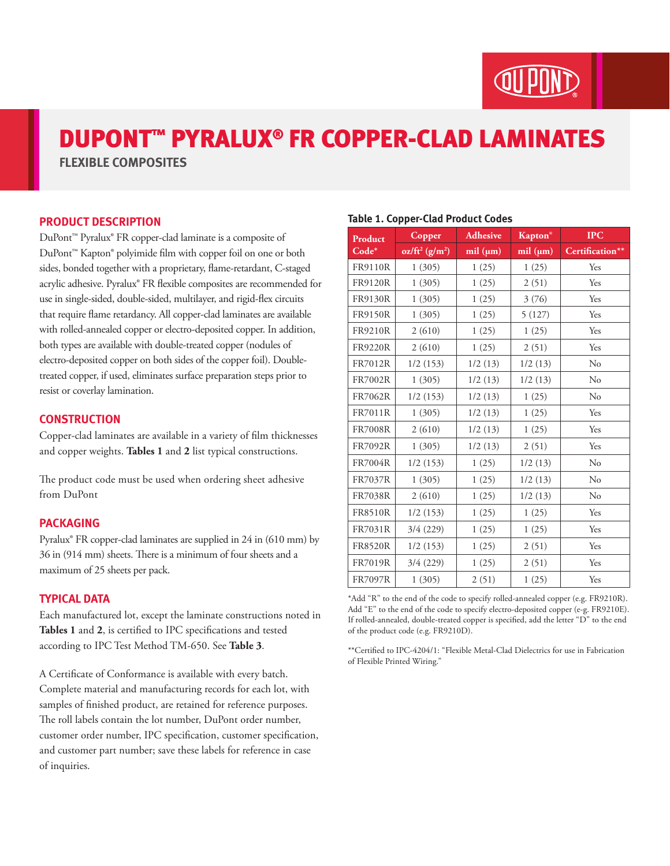

# DUPONT™ PYRALUX® FR COPPER-CLAD LAMINATES

**FLEXIBLE COMPOSITES**

#### **PRODUCT DESCRIPTION**

DuPont™ Pyralux® FR copper-clad laminate is a composite of DuPont™ Kapton® polyimide film with copper foil on one or both sides, bonded together with a proprietary, flame-retardant, C-staged acrylic adhesive. Pyralux® FR flexible composites are recommended for use in single-sided, double-sided, multilayer, and rigid-flex circuits that require flame retardancy. All copper-clad laminates are available with rolled-annealed copper or electro-deposited copper. In addition, both types are available with double-treated copper (nodules of electro-deposited copper on both sides of the copper foil). Doubletreated copper, if used, eliminates surface preparation steps prior to resist or coverlay lamination.

#### **CONSTRUCTION**

Copper-clad laminates are available in a variety of film thicknesses and copper weights. **Tables 1** and **2** list typical constructions.

The product code must be used when ordering sheet adhesive from DuPont

#### **PACKAGING**

Pyralux® FR copper-clad laminates are supplied in 24 in (610 mm) by 36 in (914 mm) sheets. There is a minimum of four sheets and a maximum of 25 sheets per pack.

#### **TYPICAL DATA**

Each manufactured lot, except the laminate constructions noted in **Tables 1** and **2**, is certified to IPC specifications and tested according to IPC Test Method TM-650. See **Table 3**.

A Certificate of Conformance is available with every batch. Complete material and manufacturing records for each lot, with samples of finished product, are retained for reference purposes. The roll labels contain the lot number, DuPont order number, customer order number, IPC specification, customer specification, and customer part number; save these labels for reference in case of inquiries.

#### **Table 1. Copper-Clad Product Codes**

| <b>Product</b> | Copper           | <b>Adhesive</b> | <b>Kapton®</b> | <b>IPC</b>      |
|----------------|------------------|-----------------|----------------|-----------------|
| Code*          | $oz/ft^2(g/m^2)$ | mil (µm)        | mil (µm)       | Certification** |
| <b>FR9110R</b> | 1(305)           | 1(25)           | 1(25)          | Yes             |
| <b>FR9120R</b> | 1(305)           | 1(25)           | 2(51)          | Yes             |
| <b>FR9130R</b> | 1(305)           | 1(25)           | 3(76)          | Yes             |
| <b>FR9150R</b> | 1(305)           | 1(25)           | 5(127)         | Yes             |
| <b>FR9210R</b> | 2(610)           | 1(25)           | 1(25)          | Yes             |
| <b>FR9220R</b> | 2(610)           | 1(25)           | 2(51)          | Yes             |
| <b>FR7012R</b> | 1/2(153)         | 1/2(13)         | 1/2(13)        | No              |
| <b>FR7002R</b> | 1(305)           | 1/2(13)         | 1/2(13)        | No              |
| <b>FR7062R</b> | 1/2(153)         | 1/2(13)         | 1(25)          | $\rm No$        |
| <b>FR7011R</b> | 1(305)           | 1/2(13)         | 1(25)          | Yes             |
| <b>FR7008R</b> | 2(610)           | 1/2(13)         | 1(25)          | Yes             |
| <b>FR7092R</b> | 1(305)           | 1/2(13)         | 2(51)          | Yes             |
| <b>FR7004R</b> | 1/2(153)         | 1(25)           | 1/2(13)        | $\rm No$        |
| FR7037R        | 1(305)           | 1(25)           | 1/2(13)        | No              |
| <b>FR7038R</b> | 2(610)           | 1(25)           | 1/2(13)        | No              |
| <b>FR8510R</b> | 1/2(153)         | 1(25)           | 1(25)          | Yes             |
| FR7031R        | 3/4(229)         | 1(25)           | 1(25)          | Yes             |
| <b>FR8520R</b> | 1/2(153)         | 1(25)           | 2(51)          | Yes             |
| <b>FR7019R</b> | 3/4(229)         | 1(25)           | 2(51)          | Yes             |
| <b>FR7097R</b> | 1(305)           | 2(51)           | 1(25)          | Yes             |

\*Add "R" to the end of the code to specify rolled-annealed copper (e.g. FR9210R). Add "E" to the end of the code to specify electro-deposited copper (e-g. FR9210E). If rolled-annealed, double-treated copper is specified, add the letter "D" to the end of the product code (e.g. FR9210D).

\*\*Certified to IPC-4204/1: "Flexible Metal-Clad Dielectrics for use in Fabrication of Flexible Printed Wiring."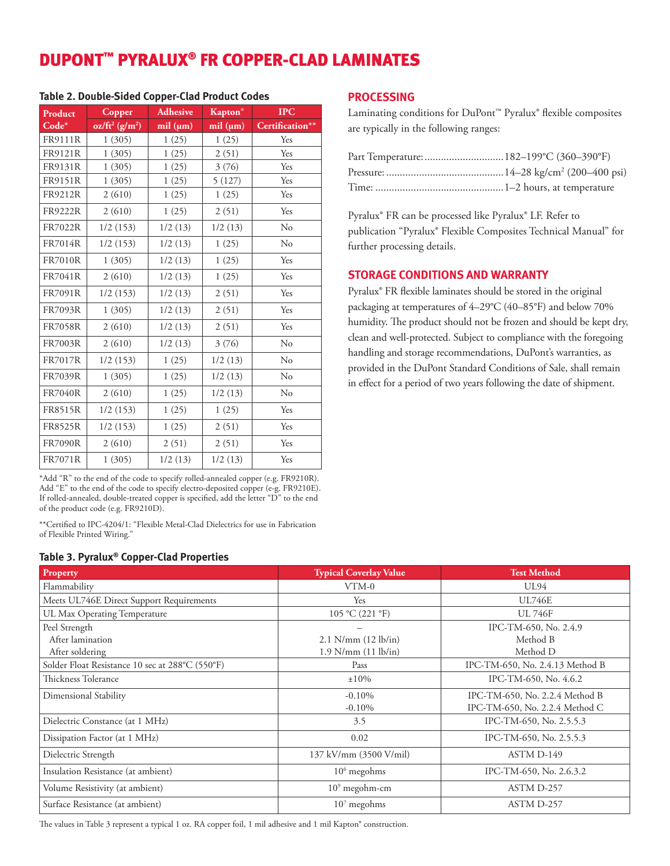## DUPONT™ PYRALUX® FR COPPER-CLAD LAMINATES

| Product        | Copper                        | <b>Adhesive</b> | <b>Kapton</b> <sup>®</sup> | <b>IPC</b>      |
|----------------|-------------------------------|-----------------|----------------------------|-----------------|
| $Code*$        | $oz/ft^2$ (g/m <sup>2</sup> ) | mil (µm)        | $mil$ ( $\mu$ m)           | Certification** |
| FR9111R        | 1(305)                        | 1(25)           | 1(25)                      | Yes             |
| FR9121R        | 1(305)                        | 1(25)           | 2(51)                      | Yes             |
| FR9131R        | 1(305)                        | 1(25)           | 3(76)                      | Yes             |
| FR9151R        | 1(305)                        | 1(25)           | 5(127)                     | Yes             |
| FR9212R        | 2(610)                        | 1(25)           | 1(25)                      | Yes             |
| FR9222R        | 2(610)                        | 1(25)           | 2(51)                      | Yes             |
| <b>FR7022R</b> | 1/2(153)                      | 1/2(13)         | 1/2(13)                    | No              |
| <b>FR7014R</b> | 1/2(153)                      | 1/2(13)         | 1(25)                      | $\rm No$        |
| <b>FR7010R</b> | 1(305)                        | 1/2(13)         | 1(25)                      | Yes             |
| FR7041R        | 2(610)                        | 1/2(13)         | 1(25)                      | Yes             |
| FR7091R        | 1/2(153)                      | 1/2(13)         | 2(51)                      | Yes             |
| <b>FR7093R</b> | 1(305)                        | 1/2(13)         | 2(51)                      | Yes             |
| <b>FR7058R</b> | 2(610)                        | 1/2(13)         | 2(51)                      | Yes             |
| <b>FR7003R</b> | 2(610)                        | 1/2(13)         | 3(76)                      | $\rm No$        |
| <b>FR7017R</b> | 1/2(153)                      | 1(25)           | 1/2(13)                    | $\rm No$        |
| FR7039R        | 1(305)                        | 1(25)           | 1/2(13)                    | N <sub>o</sub>  |
| <b>FR7040R</b> | 2(610)                        | 1(25)           | 1/2(13)                    | N <sub>o</sub>  |
| <b>FR8515R</b> | 1/2(153)                      | 1(25)           | 1(25)                      | Yes             |
| FR8525R        | 1/2(153)                      | 1(25)           | 2(51)                      | Yes             |
| <b>FR7090R</b> | 2(610)                        | 2(51)           | 2(51)                      | Yes             |
| FR7071R        | 1(305)                        | 1/2(13)         | 1/2(13)                    | Yes             |

#### **Table 2. Double-Sided Copper-Clad Product Codes**

\*Add "R" to the end of the code to specify rolled-annealed copper (e.g. FR9210R). Add "E" to the end of the code to specify electro-deposited copper (e-g. FR9210E). If rolled-annealed, double-treated copper is specified, add the letter "D" to the end of the product code (e.g. FR9210D).

\*\*Certified to IPC-4204/1: "Flexible Metal-Clad Dielectrics for use in Fabrication of Flexible Printed Wiring."

#### **Table 3. Pyralux® Copper-Clad Properties**

| $\frac{1}{2}$                                   |                               |                                 |  |  |  |  |
|-------------------------------------------------|-------------------------------|---------------------------------|--|--|--|--|
| Property                                        | <b>Typical Coverlay Value</b> | <b>Test Method</b>              |  |  |  |  |
| Flammability                                    | VTM-0                         | UL94                            |  |  |  |  |
| Meets UL746E Direct Support Requirements        | Yes                           | <b>UL746E</b>                   |  |  |  |  |
| UL Max Operating Temperature                    | 105 °C (221 °F)               | <b>UL 746F</b>                  |  |  |  |  |
| Peel Strength                                   |                               | IPC-TM-650, No. 2.4.9           |  |  |  |  |
| After lamination                                | $2.1$ N/mm $(12$ lb/in)       | Method B                        |  |  |  |  |
| After soldering                                 | $1.9$ N/mm $(11$ lb/in)       | Method D                        |  |  |  |  |
| Solder Float Resistance 10 sec at 288°C (550°F) | Pass                          | IPC-TM-650, No. 2.4.13 Method B |  |  |  |  |
| Thickness Tolerance                             | ±10%                          | IPC-TM-650, No. 4.6.2           |  |  |  |  |
| Dimensional Stability                           | $-0.10%$                      | IPC-TM-650, No. 2.2.4 Method B  |  |  |  |  |
|                                                 | $-0.10%$                      | IPC-TM-650, No. 2.2.4 Method C  |  |  |  |  |
| Dielectric Constance (at 1 MHz)                 | 3.5                           | IPC-TM-650, No. 2.5.5.3         |  |  |  |  |
| Dissipation Factor (at 1 MHz)                   | 0.02                          | IPC-TM-650, No. 2.5.5.3         |  |  |  |  |
| Dielectric Strength                             | 137 kV/mm (3500 V/mil)        | ASTM D-149                      |  |  |  |  |
| Insulation Resistance (at ambient)              | $106$ megohms                 | IPC-TM-650, No. 2.6.3.2         |  |  |  |  |
| Volume Resistivity (at ambient)                 | $109$ megohm-cm               | ASTM D-257                      |  |  |  |  |
| Surface Resistance (at ambient)                 | $107$ megohms                 | ASTM D-257                      |  |  |  |  |

The values in Table 3 represent a typical 1 oz. RA copper foil, 1 mil adhesive and 1 mil Kapton® construction.

#### **PROCESSING**

Laminating conditions for DuPont™ Pyralux® flexible composites are typically in the following ranges:

Pyralux® FR can be processed like Pyralux® LF. Refer to publication "Pyralux® Flexible Composites Technical Manual" for further processing details.

#### **STORAGE CONDITIONS AND WARRANTY**

Pyralux® FR flexible laminates should be stored in the original packaging at temperatures of 4–29°C (40–85°F) and below 70% humidity. The product should not be frozen and should be kept dry, clean and well-protected. Subject to compliance with the foregoing handling and storage recommendations, DuPont's warranties, as provided in the DuPont Standard Conditions of Sale, shall remain in effect for a period of two years following the date of shipment.